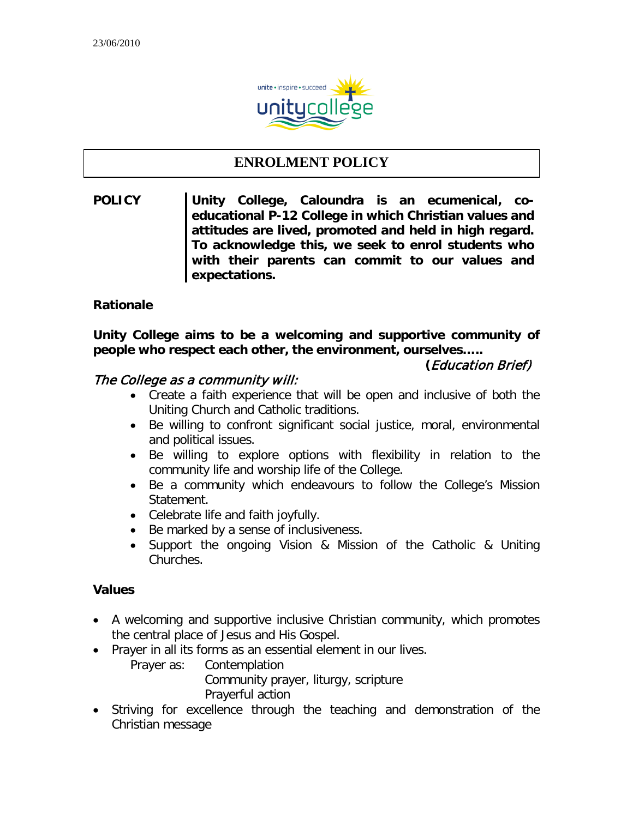

# **ENROLMENT POLICY**

**POLICY Unity College, Caloundra is an ecumenical, coeducational P-12 College in which Christian values and attitudes are lived, promoted and held in high regard. To acknowledge this, we seek to enrol students who with their parents can commit to our values and expectations.**

#### **Rationale**

**Unity College aims to be a welcoming and supportive community of people who respect each other, the environment, ourselves…..**

# **(**Education Brief)

## The College as a community will:

- Create a faith experience that will be open and inclusive of both the Uniting Church and Catholic traditions.
- Be willing to confront significant social justice, moral, environmental and political issues.
- Be willing to explore options with flexibility in relation to the community life and worship life of the College.
- Be a community which endeavours to follow the College's Mission Statement.
- Celebrate life and faith joyfully.
- Be marked by a sense of inclusiveness.
- Support the ongoing Vision & Mission of the Catholic & Uniting Churches.

#### **Values**

- A welcoming and supportive inclusive Christian community, which promotes the central place of Jesus and His Gospel.
- Prayer in all its forms as an essential element in our lives.
	- Prayer as: Contemplation

Community prayer, liturgy, scripture

- Prayerful action
- Striving for excellence through the teaching and demonstration of the Christian message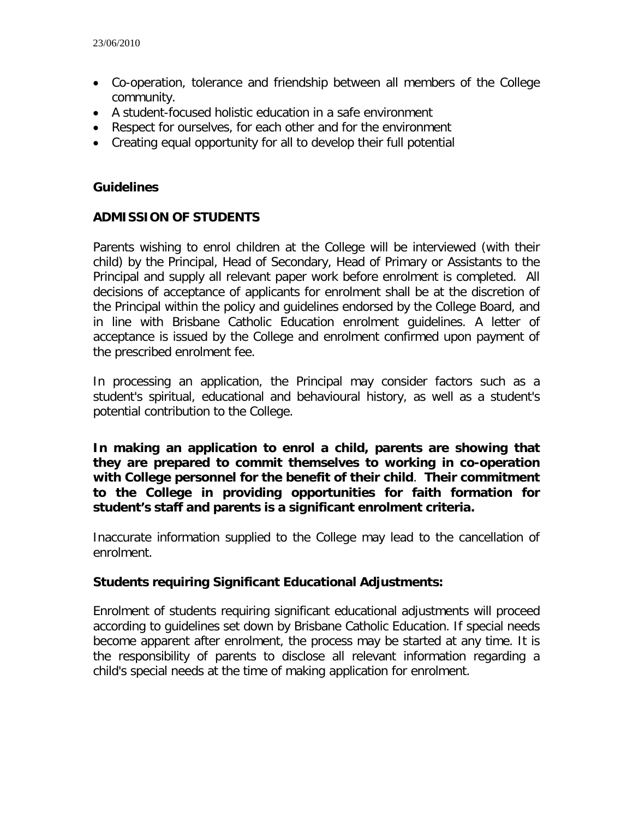- Co-operation, tolerance and friendship between all members of the College community.
- A student-focused holistic education in a safe environment
- Respect for ourselves, for each other and for the environment
- Creating equal opportunity for all to develop their full potential

#### **Guidelines**

## **ADMISSION OF STUDENTS**

Parents wishing to enrol children at the College will be interviewed (with their child) by the Principal, Head of Secondary, Head of Primary or Assistants to the Principal and supply all relevant paper work before enrolment is completed. All decisions of acceptance of applicants for enrolment shall be at the discretion of the Principal within the policy and guidelines endorsed by the College Board, and in line with Brisbane Catholic Education enrolment guidelines. A letter of acceptance is issued by the College and enrolment confirmed upon payment of the prescribed enrolment fee.

In processing an application, the Principal may consider factors such as a student's spiritual, educational and behavioural history, as well as a student's potential contribution to the College.

**In making an application to enrol a child, parents are showing that they are prepared to commit themselves to working in co-operation with College personnel for the benefit of their child**. **Their commitment to the College in providing opportunities for faith formation for student's staff and parents is a significant enrolment criteria.**

Inaccurate information supplied to the College may lead to the cancellation of enrolment.

#### **Students requiring Significant Educational Adjustments:**

Enrolment of students requiring significant educational adjustments will proceed according to guidelines set down by Brisbane Catholic Education. If special needs become apparent after enrolment, the process may be started at any time. It is the responsibility of parents to disclose all relevant information regarding a child's special needs at the time of making application for enrolment.